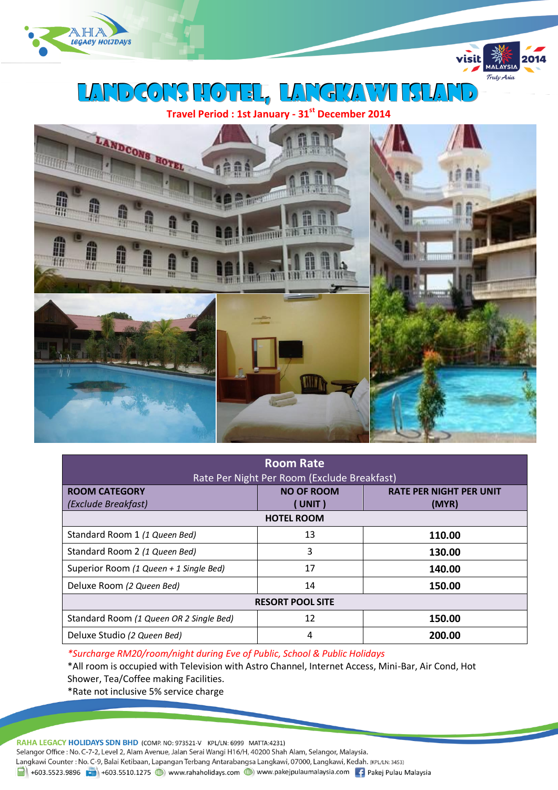

LANDCONS HOTEL, LANGKAWI ISLA

**Travel Period : 1st January - 31st December 2014**

visit

.<br>Truly Asia



| <b>Room Rate</b><br>Rate Per Night Per Room (Exclude Breakfast) |                            |                                         |  |  |
|-----------------------------------------------------------------|----------------------------|-----------------------------------------|--|--|
| <b>ROOM CATEGORY</b><br>(Exclude Breakfast)                     | <b>NO OF ROOM</b><br>UNIT) | <b>RATE PER NIGHT PER UNIT</b><br>(MYR) |  |  |
| <b>HOTEL ROOM</b>                                               |                            |                                         |  |  |
| Standard Room 1 (1 Queen Bed)                                   | 13                         | 110.00                                  |  |  |
| Standard Room 2 (1 Queen Bed)                                   | 3                          | 130.00                                  |  |  |
| Superior Room (1 Queen + 1 Single Bed)                          | 17                         | 140.00                                  |  |  |
| Deluxe Room (2 Queen Bed)                                       | 14                         | 150.00                                  |  |  |
| <b>RESORT POOL SITE</b>                                         |                            |                                         |  |  |
| Standard Room (1 Queen OR 2 Single Bed)                         | 12                         | 150.00                                  |  |  |
| Deluxe Studio (2 Queen Bed)                                     | 4                          | 200.00                                  |  |  |

*\*Surcharge RM20/room/night during Eve of Public, School & Public Holidays*

\*All room is occupied with Television with Astro Channel, Internet Access, Mini-Bar, Air Cond, Hot Shower, Tea/Coffee making Facilities.

\*Rate not inclusive 5% service charge

RAHA LEGACY HOLIDAYS SDN BHD (COMP. NO: 973521-V KPL/LN: 6999 MATTA:4231) Selangor Office : No. C-7-2, Level 2, Alam Avenue, Jalan Serai Wangi H16/H, 40200 Shah Alam, Selangor, Malaysia. Langkawi Counter: No. C-9, Balai Ketibaan, Lapangan Terbang Antarabangsa Langkawi, 07000, Langkawi, Kedah. (KPL/LN: 3453) 1 +603.5523.9896 + +603.5510.1275 (b) www.rahaholidays.com (b) www.pakejpulaumalaysia.com + Pakej Pulau Malaysia